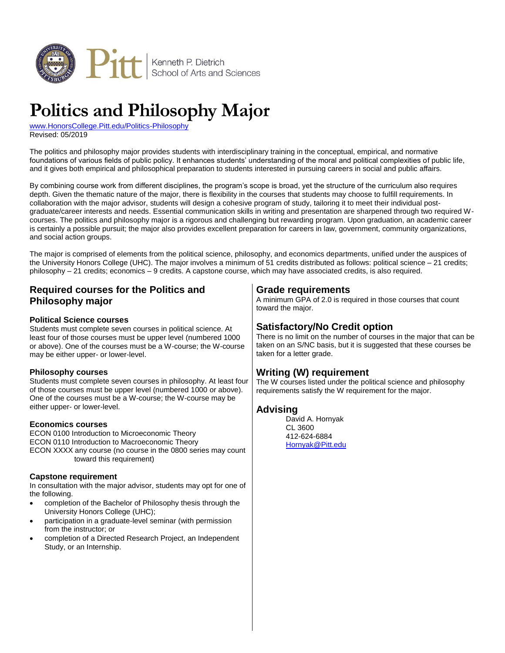

# **Politics and Philosophy Major**

[www.HonorsCollege.Pitt.edu/Politics-Philosophy](http://www.honorscollege.pitt.edu/politics-philosophy) Revised: 05/2019

The politics and philosophy major provides students with interdisciplinary training in the conceptual, empirical, and normative foundations of various fields of public policy. It enhances students' understanding of the moral and political complexities of public life, and it gives both empirical and philosophical preparation to students interested in pursuing careers in social and public affairs.

By combining course work from different disciplines, the program's scope is broad, yet the structure of the curriculum also requires depth. Given the thematic nature of the major, there is flexibility in the courses that students may choose to fulfill requirements. In collaboration with the major advisor, students will design a cohesive program of study, tailoring it to meet their individual postgraduate/career interests and needs. Essential communication skills in writing and presentation are sharpened through two required Wcourses. The politics and philosophy major is a rigorous and challenging but rewarding program. Upon graduation, an academic career is certainly a possible pursuit; the major also provides excellent preparation for careers in law, government, community organizations, and social action groups.

The major is comprised of elements from the political science, philosophy, and economics departments, unified under the auspices of the University Honors College (UHC). The major involves a minimum of 51 credits distributed as follows: political science – 21 credits; philosophy – 21 credits; economics – 9 credits. A capstone course, which may have associated credits, is also required.

## **Required courses for the Politics and Philosophy major**

#### **Political Science courses**

Students must complete seven courses in political science. At least four of those courses must be upper level (numbered 1000 or above). One of the courses must be a W-course; the W-course may be either upper- or lower-level.

#### **Philosophy courses**

Students must complete seven courses in philosophy. At least four of those courses must be upper level (numbered 1000 or above). One of the courses must be a W-course; the W-course may be either upper- or lower-level.

#### **Economics courses**

ECON 0100 Introduction to Microeconomic Theory ECON 0110 Introduction to Macroeconomic Theory ECON XXXX any course (no course in the 0800 series may count toward this requirement)

#### **Capstone requirement**

In consultation with the major advisor, students may opt for one of the following.

- completion of the Bachelor of Philosophy thesis through the University Honors College (UHC);
- participation in a graduate-level seminar (with permission from the instructor; or
- completion of a Directed Research Project, an Independent Study, or an Internship.

## **Grade requirements**

A minimum GPA of 2.0 is required in those courses that count toward the major.

## **Satisfactory/No Credit option**

There is no limit on the number of courses in the major that can be taken on an S/NC basis, but it is suggested that these courses be taken for a letter grade.

## **Writing (W) requirement**

The W courses listed under the political science and philosophy requirements satisfy the W requirement for the major.

#### **Advising**

David A. Hornyak CL 3600 412-624-6884 [Hornyak@Pitt.edu](mailto:hornyak@pitt.edu)